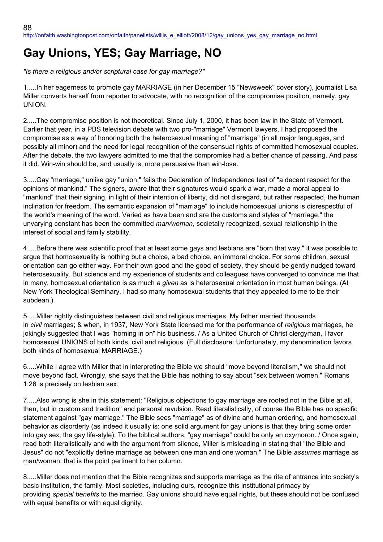## **Gay Unions, YES; Gay Marriage, NO**

*"Is there a religious and/or scriptural case for gay marriage?"*

1.....In her eagerness to promote gay MARRIAGE (in her December 15 "Newsweek" cover story), journalist Lisa Miller converts herself from reporter to advocate, with no recognition of the compromise position, namely, gay UNION.

2.....The compromise position is not theoretical. Since July 1, 2000, it has been law in the State of Vermont. Earlier that year, in a PBS television debate with two pro-"marriage" Vermont lawyers, I had proposed the compromise as a way of honoring both the heterosexual meaning of "marriage" (in all major languages, and possibly all minor) and the need for legal recognition of the consensual rights of committed homosexual couples. After the debate, the two lawyers admitted to me that the compromise had a better chance of passing. And pass it did. Win-win should be, and usually is, more persuasive than win-lose.

3.....Gay "marriage," unlike gay "union," fails the Declaration of Independence test of "a decent respect for the opinions of mankind." The signers, aware that their signatures would spark a war, made a moral appeal to "mankind" that their signing, in light of their intention of liberty, did not disregard, but rather respected, the human inclination for freedom. The semantic expansion of "marriage" to include homosexual unions is disrespectful of the world's meaning of the word. Varied as have been and are the customs and styles of "marriage," the unvarying constant has been the committed *man/woman*, societally recognized, sexual relationship in the interest of social and family stability.

4.....Before there was scientific proof that at least some gays and lesbians are "born that way," it was possible to argue that homosexuality is nothing but a choice, a bad choice, an immoral choice. For some children, sexual orientation can go either way. For their own good and the good of society, they should be gently nudged toward heterosexuality. But science and my experience of students and colleagues have converged to convince me that in many, homosexual orientation is as much *a given* as is heterosexual orientation in most human beings. (At New York Theological Seminary, I had so many homosexual students that they appealed to me to be their subdean.)

5.....Miller rightly distinguishes between civil and religious marriages. My father married thousands in *civil* marriages; & when, in 1937, New York State licensed me for the performance of *religious* marriages, he jokingly suggested that I was "horning in on" his business. / As a United Church of Christ clergyman, I favor homosexual UNIONS of both kinds, civil and religious. (Full disclosure: Unfortunately, my denomination favors both kinds of homosexual MARRIAGE.)

6.....While I agree with Miller that in interpreting the Bible we should "move beyond literalism," we should not move beyond fact. Wrongly, she says that the Bible has nothing to say about "sex between women." Romans 1:26 is precisely on lesbian sex.

7.....Also wrong is she in this statement: "Religious objections to gay marriage are rooted not in the Bible at all, then, but in custom and tradition" and personal revulsion. Read literalistically, of course the Bible has no specific statement against "gay marriage." The Bible sees "marriage" as of divine and human ordering, and homosexual behavior as disorderly (as indeed it usually is: one solid argument for gay unions is that they bring some order into gay sex, the gay life-style). To the biblical authors, "gay marriage" could be only an oxymoron. / Once again, read both literalistically and with the argument from silence, Miller is misleading in stating that "the Bible and Jesus" do not "explicitly define marriage as between one man and one woman." The Bible *assumes* marriage as man/woman: that is the point pertinent to her column.

8.....Miller does not mention that the Bible recognizes and supports marriage as the rite of entrance into society's basic institution, the family. Most societies, including ours, recognize this institutional primacy by providing *special benefits* to the married. Gay unions should have equal rights, but these should not be confused with equal benefits or with equal dignity.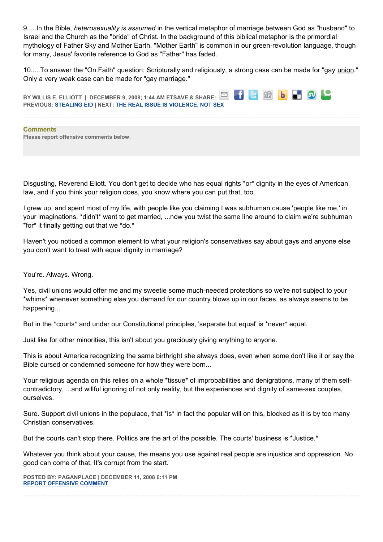9.....In the Bible, *heterosexuality is assumed* in the vertical metaphor of marriage between God as "husband" to Israel and the Church as the "bride" of Christ. In the background of this biblical metaphor is the primordial mythology of Father Sky and Mother Earth. "Mother Earth" is common in our green-revolution language, though for many, Jesus' favorite reference to God as "Father" has faded.

10.....To answer the "On Faith" question: Scripturally and religiously, a strong case can be made for "gay union." Only a very weak case can be made for "gay marriage."

**BY WILLIS E. ELLIOTT | DECEMBER 9, 2008; 1:44 AM ETSAVE & SHARE:** le.  $SP$  $b \rightarrow 9$ **PREVIOUS: [STEALING EID](http://onfaith.washingtonpost.com/onfaith/panelists/eboo_patel/2008/12/stealing_eid.html) | NEXT: [THE REAL ISSUE IS VIOLENCE, NOT SEX](http://onfaith.washingtonpost.com/onfaith/panelists/john_dominic_crossan/2008/12/gay_marriage_another_devilish.html)**

**Please report offensive comments below.**

**Comments**

Disgusting, Reverend Eliott. You don't get to decide who has equal rights \*or\* dignity in the eyes of American law, and if you think your religion does, you know where you can put that, too.

I grew up, and spent most of my life, with people like you claiming I was subhuman cause 'people like me,' in your imaginations, \*didn't\* want to get married, ...now you twist the same line around to claim we're subhuman \*for\* it finally getting out that we \*do.\*

Haven't you noticed a common element to what your religion's conservatives say about gays and anyone else you don't want to treat with equal dignity in marriage?

You're. Always. Wrong.

Yes, civil unions would offer me and my sweetie some much-needed protections so we're not subject to your \*whims\* whenever something else you demand for our country blows up in our faces, as always seems to be happening...

But in the \*courts\* and under our Constitutional principles, 'separate but equal' is \*never\* equal.

Just like for other minorities, this isn't about you graciously giving anything to anyone.

This is about America recognizing the same birthright she always does, even when some don't like it or say the Bible cursed or condemned someone for how they were born...

Your religious agenda on this relies on a whole \*tissue\* of improbabilities and denigrations, many of them selfcontradictory, ...and willful ignoring of not only reality, but the experiences and dignity of same-sex couples, ourselves.

Sure. Support civil unions in the populace, that \*is\* in fact the popular will on this, blocked as it is by too many Christian conservatives.

But the courts can't stop there. Politics are the art of the possible. The courts' business is \*Justice.\*

Whatever you think about your cause, the means you use against real people are injustice and oppression. No good can come of that. It's corrupt from the start.

**POSTED BY: PAGANPLACE | DECEMBER 11, 2008 6:11 PM [REPORT OFFENSIVE COMMENT](mailto:blogs@washingtonpost.com?subject=On%20Faith%20Panelists%20Blog%20%20%7C%20%20Paganplace%20%20%7C%20%20Gay%20Unions,%20YES;%20Gay%20Marriage,%20NO%20%20%7C%20%204573518&body=%0D%0D%0D%0D%0D================%0D?__mode=view%26_type=comment%26id=4573518%26blog_id=618)**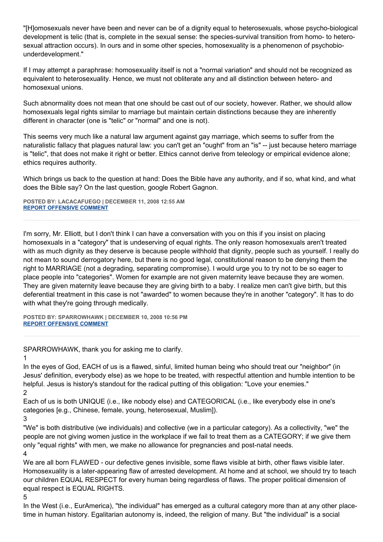"[H]omosexuals never have been and never can be of a dignity equal to heterosexuals, whose psycho-biological development is telic (that is, complete in the sexual sense: the species-survival transition from homo- to heterosexual attraction occurs). In ours and in some other species, homosexuality is a phenomenon of psychobiounderdevelopment."

If I may attempt a paraphrase: homosexuality itself is not a "normal variation" and should not be recognized as equivalent to heterosexuality. Hence, we must not obliterate any and all distinction between hetero- and homosexual unions.

Such abnormality does not mean that one should be cast out of our society, however. Rather, we should allow homosexuals legal rights similar to marriage but maintain certain distinctions because they are inherently different in character (one is "telic" or "normal" and one is not).

This seems very much like a natural law argument against gay marriage, which seems to suffer from the naturalistic fallacy that plagues natural law: you can't get an "ought" from an "is" -- just because hetero marriage is "telic", that does not make it right or better. Ethics cannot derive from teleology or empirical evidence alone; ethics requires authority.

Which brings us back to the question at hand: Does the Bible have any authority, and if so, what kind, and what does the Bible say? On the last question, google Robert Gagnon.

**POSTED BY: LACACAFUEGO | DECEMBER 11, 2008 12:55 AM [REPORT OFFENSIVE COMMENT](mailto:blogs@washingtonpost.com?subject=On%20Faith%20Panelists%20Blog%20%20%7C%20%20LaCacaFuego%20%20%7C%20%20Gay%20Unions,%20YES;%20Gay%20Marriage,%20NO%20%20%7C%20%204573180&body=%0D%0D%0D%0D%0D================%0D?__mode=view%26_type=comment%26id=4573180%26blog_id=618)**

I'm sorry, Mr. Elliott, but I don't think I can have a conversation with you on this if you insist on placing homosexuals in a "category" that is undeserving of equal rights. The only reason homosexuals aren't treated with as much dignity as they deserve is because people withhold that dignity, people such as yourself. I really do not mean to sound derrogatory here, but there is no good legal, constitutional reason to be denying them the right to MARRIAGE (not a degrading, separating compromise). I would urge you to try not to be so eager to place people into "categories". Women for example are not given maternity leave because they are women. They are given maternity leave because they are giving birth to a baby. I realize men can't give birth, but this deferential treatment in this case is not "awarded" to women because they're in another "category". It has to do with what they're going through medically.

**POSTED BY: SPARROWHAWK | DECEMBER 10, 2008 10:56 PM [REPORT OFFENSIVE COMMENT](mailto:blogs@washingtonpost.com?subject=On%20Faith%20Panelists%20Blog%20%20%7C%20%20Sparrowhawk%20%20%7C%20%20Gay%20Unions,%20YES;%20Gay%20Marriage,%20NO%20%20%7C%20%204573153&body=%0D%0D%0D%0D%0D================%0D?__mode=view%26_type=comment%26id=4573153%26blog_id=618)**

SPARROWHAWK, thank you for asking me to clarify.

1

In the eyes of God, EACH of us is a flawed, sinful, limited human being who should treat our "neighbor" (in Jesus' definition, everybody else) as we hope to be treated, with respectful attention and humble intention to be helpful. Jesus is history's standout for the radical putting of this obligation: "Love your enemies." 2

Each of us is both UNIQUE (i.e., like nobody else) and CATEGORICAL (i.e., like everybody else in one's categories [e.g., Chinese, female, young, heterosexual, Muslim]).

3

"We" is both distributive (we individuals) and collective (we in a particular category). As a collectivity, "we" the people are not giving women justice in the workplace if we fail to treat them as a CATEGORY; if we give them only "equal rights" with men, we make no allowance for pregnancies and post-natal needs.

4

We are all born FLAWED - our defective genes invisible, some flaws visible at birth, other flaws visible later. Homosexuality is a later-appearing flaw of arrested development. At home and at school, we should try to teach our children EQUAL RESPECT for every human being regardless of flaws. The proper political dimension of equal respect is EQUAL RIGHTS.

5

In the West (i.e., EurAmerica), "the individual" has emerged as a cultural category more than at any other placetime in human history. Egalitarian autonomy is, indeed, the religion of many. But "the individual" is a social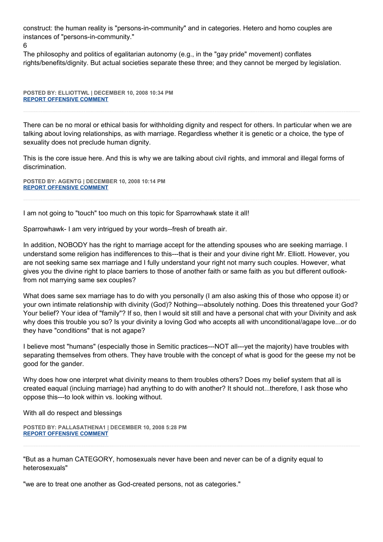construct: the human reality is "persons-in-community" and in categories. Hetero and homo couples are instances of "persons-in-community."

```
6
```
The philosophy and politics of egalitarian autonomy (e.g., in the "gay pride" movement) conflates rights/benefits/dignity. But actual societies separate these three; and they cannot be merged by legislation.

**POSTED BY: ELLIOTTWL | DECEMBER 10, 2008 10:34 PM [REPORT OFFENSIVE COMMENT](mailto:blogs@washingtonpost.com?subject=On%20Faith%20Panelists%20Blog%20%20%7C%20%20elliottwl%20%20%7C%20%20Gay%20Unions,%20YES;%20Gay%20Marriage,%20NO%20%20%7C%20%204573148&body=%0D%0D%0D%0D%0D================%0D?__mode=view%26_type=comment%26id=4573148%26blog_id=618)**

There can be no moral or ethical basis for withholding dignity and respect for others. In particular when we are talking about loving relationships, as with marriage. Regardless whether it is genetic or a choice, the type of sexuality does not preclude human dignity.

This is the core issue here. And this is why we are talking about civil rights, and immoral and illegal forms of discrimination.

**POSTED BY: AGENTG | DECEMBER 10, 2008 10:14 PM [REPORT OFFENSIVE COMMENT](mailto:blogs@washingtonpost.com?subject=On%20Faith%20Panelists%20Blog%20%20%7C%20%20AgentG%20%20%7C%20%20Gay%20Unions,%20YES;%20Gay%20Marriage,%20NO%20%20%7C%20%204573143&body=%0D%0D%0D%0D%0D================%0D?__mode=view%26_type=comment%26id=4573143%26blog_id=618)**

I am not going to "touch" too much on this topic for Sparrowhawk state it all!

Sparrowhawk- I am very intrigued by your words--fresh of breath air.

In addition, NOBODY has the right to marriage accept for the attending spouses who are seeking marriage. I understand some religion has indifferences to this---that is their and your divine right Mr. Elliott. However, you are not seeking same sex marriage and I fully understand your right not marry such couples. However, what gives you the divine right to place barriers to those of another faith or same faith as you but different outlookfrom not marrying same sex couples?

What does same sex marriage has to do with you personally (I am also asking this of those who oppose it) or your own intimate relationship with divinity (God)? Nothing---absolutely nothing. Does this threatened your God? Your belief? Your idea of "family"? If so, then I would sit still and have a personal chat with your Divinity and ask why does this trouble you so? Is your divinity a loving God who accepts all with unconditional/agape love...or do they have "conditions" that is not agape?

I believe most "humans" (especially those in Semitic practices---NOT all---yet the majority) have troubles with separating themselves from others. They have trouble with the concept of what is good for the geese my not be good for the gander.

Why does how one interpret what divinity means to them troubles others? Does my belief system that all is created eaqual (incluing marriage) had anything to do with another? It should not...therefore, I ask those who oppose this---to look within vs. looking without.

With all do respect and blessings

**POSTED BY: PALLASATHENA1 | DECEMBER 10, 2008 5:28 PM [REPORT OFFENSIVE COMMENT](mailto:blogs@washingtonpost.com?subject=On%20Faith%20Panelists%20Blog%20%20%7C%20%20pallasathena1%20%20%7C%20%20Gay%20Unions,%20YES;%20Gay%20Marriage,%20NO%20%20%7C%20%204573089&body=%0D%0D%0D%0D%0D================%0D?__mode=view%26_type=comment%26id=4573089%26blog_id=618)**

"But as a human CATEGORY, homosexuals never have been and never can be of a dignity equal to heterosexuals"

"we are to treat one another as God-created persons, not as categories."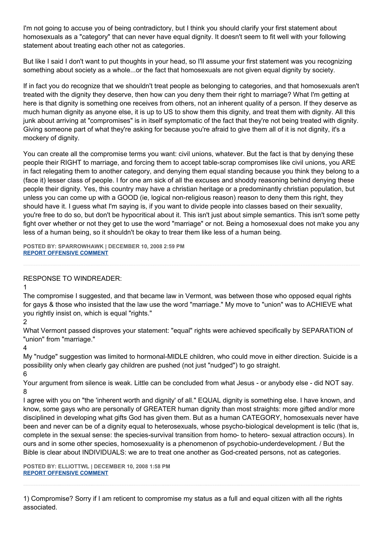I'm not going to accuse you of being contradictory, but I think you should clarify your first statement about homosexuals as a "category" that can never have equal dignity. It doesn't seem to fit well with your following statement about treating each other not as categories.

But like I said I don't want to put thoughts in your head, so I'll assume your first statement was you recognizing something about society as a whole...or the fact that homosexuals are not given equal dignity by society.

If in fact you do recognize that we shouldn't treat people as belonging to categories, and that homosexuals aren't treated with the dignity they deserve, then how can you deny them their right to marriage? What I'm getting at here is that dignity is something one receives from others, not an inherent quality of a person. If they deserve as much human dignity as anyone else, it is up to US to show them this dignity, and treat them with dignity. All this junk about arriving at "compromises" is in itself symptomatic of the fact that they're not being treated with dignity. Giving someone part of what they're asking for because you're afraid to give them all of it is not dignity, it's a mockery of dignity.

You can create all the compromise terms you want: civil unions, whatever. But the fact is that by denying these people their RIGHT to marriage, and forcing them to accept table-scrap compromises like civil unions, you ARE in fact relegating them to another category, and denying them equal standing because you think they belong to a (face it) lesser class of people. I for one am sick of all the excuses and shoddy reasoning behind denying these people their dignity. Yes, this country may have a christian heritage or a predominantly christian population, but unless you can come up with a GOOD (ie, logical non-religious reason) reason to deny them this right, they should have it. I guess what I'm saying is, if you want to divide people into classes based on their sexuality, you're free to do so, but don't be hypocritical about it. This isn't just about simple semantics. This isn't some petty fight over whether or not they get to use the word "marriage" or not. Being a homosexual does not make you any less of a human being, so it shouldn't be okay to trear them like less of a human being.

**POSTED BY: SPARROWHAWK | DECEMBER 10, 2008 2:59 PM [REPORT OFFENSIVE COMMENT](mailto:blogs@washingtonpost.com?subject=On%20Faith%20Panelists%20Blog%20%20%7C%20%20Sparrowhawk%20%20%7C%20%20Gay%20Unions,%20YES;%20Gay%20Marriage,%20NO%20%20%7C%20%204573037&body=%0D%0D%0D%0D%0D================%0D?__mode=view%26_type=comment%26id=4573037%26blog_id=618)**

## RESPONSE TO WINDREADER:

1

The compromise I suggested, and that became law in Vermont, was between those who opposed equal rights for gays & those who insisted that the law use the word "marriage." My move to "union" was to ACHIEVE what you rightly insist on, which is equal "rights."

2

What Vermont passed disproves your statement: "equal" rights were achieved specifically by SEPARATION of "union" from "marriage."

4

My "nudge" suggestion was limited to hormonal-MIDLE children, who could move in either direction. Suicide is a possibility only when clearly gay children are pushed (not just "nudged") to go straight. 6

Your argument from silence is weak. Little can be concluded from what Jesus - or anybody else - did NOT say. 8

I agree with you on "the 'inherent worth and dignity' of all." EQUAL dignity is something else. I have known, and know, some gays who are personally of GREATER human dignity than most straights: more gifted and/or more disciplined in developing what gifts God has given them. But as a human CATEGORY, homosexuals never have been and never can be of a dignity equal to heterosexuals, whose psycho-biological development is telic (that is, complete in the sexual sense: the species-survival transition from homo- to hetero- sexual attraction occurs). In ours and in some other species, homosexuality is a phenomenon of psychobio-underdevelopment. / But the Bible is clear about INDIVIDUALS: we are to treat one another as God-created persons, not as categories.

**POSTED BY: ELLIOTTWL | DECEMBER 10, 2008 1:58 PM [REPORT OFFENSIVE COMMENT](mailto:blogs@washingtonpost.com?subject=On%20Faith%20Panelists%20Blog%20%20%7C%20%20elliottwl%20%20%7C%20%20Gay%20Unions,%20YES;%20Gay%20Marriage,%20NO%20%20%7C%20%204573016&body=%0D%0D%0D%0D%0D================%0D?__mode=view%26_type=comment%26id=4573016%26blog_id=618)**

1) Compromise? Sorry if I am reticent to compromise my status as a full and equal citizen with all the rights associated.